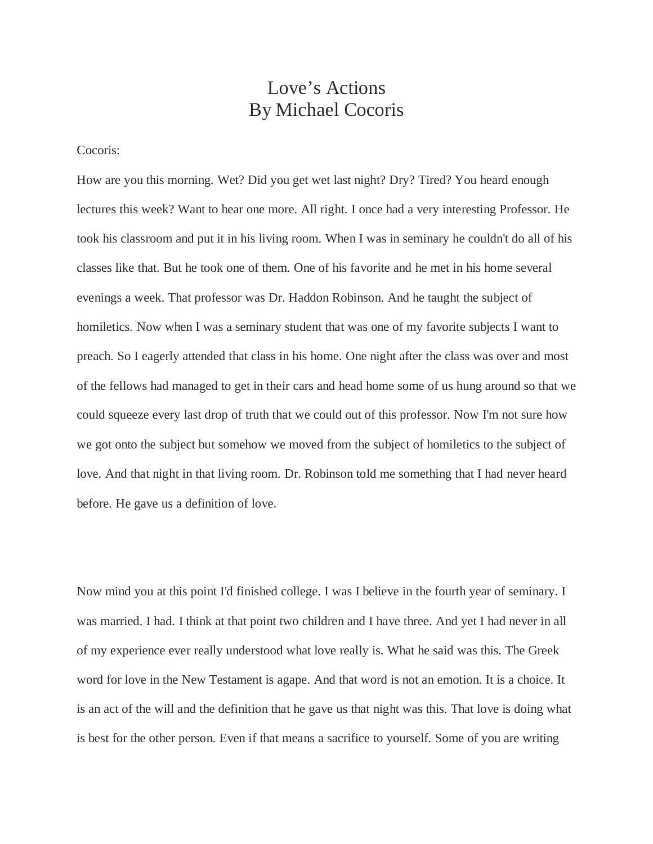## Love's Actions By Michael Cocoris

Cocoris:

How are you this morning. Wet? Did you get wet last night? Dry? Tired? You heard enough lectures this week? Want to hear one more. All right. I once had a very interesting Professor. He took his classroom and put it in his living room. When I was in seminary he couldn't do all of his classes like that. But he took one of them. One of his favorite and he met in his home several evenings a week. That professor was Dr. Haddon Robinson. And he taught the subject of homiletics. Now when I was a seminary student that was one of my favorite subjects I want to preach. So I eagerly attended that class in his home. One night after the class was over and most of the fellows had managed to get in their cars and head home some of us hung around so that we could squeeze every last drop of truth that we could out of this professor. Now I'm not sure how we got onto the subject but somehow we moved from the subject of homiletics to the subject of love. And that night in that living room. Dr. Robinson told me something that I had never heard before. He gave us a definition of love.

Now mind you at this point I'd finished college. I was I believe in the fourth year of seminary. I was married. I had. I think at that point two children and I have three. And yet I had never in all of my experience ever really understood what love really is. What he said was this. The Greek word for love in the New Testament is agape. And that word is not an emotion. It is a choice. It is an act of the will and the definition that he gave us that night was this. That love is doing what is best for the other person. Even if that means a sacrifice to yourself. Some of you are writing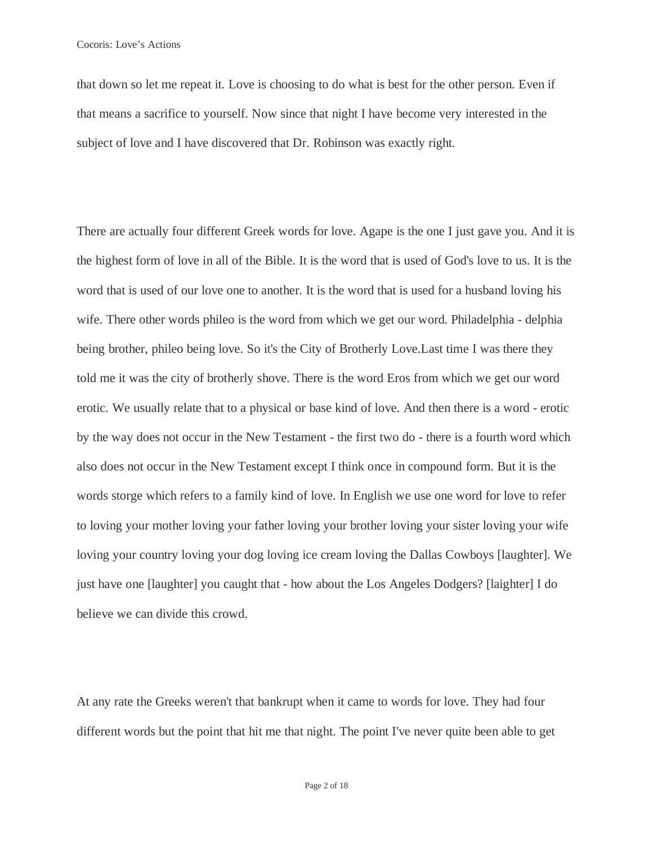that down so let me repeat it. Love is choosing to do what is best for the other person. Even if that means a sacrifice to yourself. Now since that night I have become very interested in the subject of love and I have discovered that Dr. Robinson was exactly right.

There are actually four different Greek words for love. Agape is the one I just gave you. And it is the highest form of love in all of the Bible. It is the word that is used of God's love to us. It is the word that is used of our love one to another. It is the word that is used for a husband loving his wife. There other words phileo is the word from which we get our word. Philadelphia - delphia being brother, phileo being love. So it's the City of Brotherly Love.Last time I was there they told me it was the city of brotherly shove. There is the word Eros from which we get our word erotic. We usually relate that to a physical or base kind of love. And then there is a word - erotic by the way does not occur in the New Testament - the first two do - there is a fourth word which also does not occur in the New Testament except I think once in compound form. But it is the words storge which refers to a family kind of love. In English we use one word for love to refer to loving your mother loving your father loving your brother loving your sister loving your wife loving your country loving your dog loving ice cream loving the Dallas Cowboys [laughter]. We just have one [laughter] you caught that - how about the Los Angeles Dodgers? [laighter] I do believe we can divide this crowd.

At any rate the Greeks weren't that bankrupt when it came to words for love. They had four different words but the point that hit me that night. The point I've never quite been able to get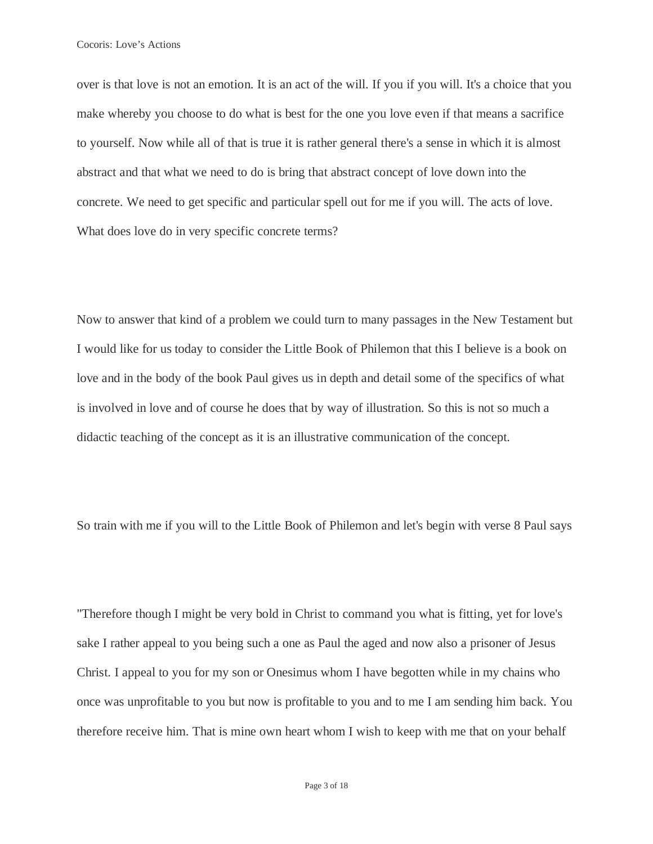over is that love is not an emotion. It is an act of the will. If you if you will. It's a choice that you make whereby you choose to do what is best for the one you love even if that means a sacrifice to yourself. Now while all of that is true it is rather general there's a sense in which it is almost abstract and that what we need to do is bring that abstract concept of love down into the concrete. We need to get specific and particular spell out for me if you will. The acts of love. What does love do in very specific concrete terms?

Now to answer that kind of a problem we could turn to many passages in the New Testament but I would like for us today to consider the Little Book of Philemon that this I believe is a book on love and in the body of the book Paul gives us in depth and detail some of the specifics of what is involved in love and of course he does that by way of illustration. So this is not so much a didactic teaching of the concept as it is an illustrative communication of the concept.

So train with me if you will to the Little Book of Philemon and let's begin with verse 8 Paul says

"Therefore though I might be very bold in Christ to command you what is fitting, yet for love's sake I rather appeal to you being such a one as Paul the aged and now also a prisoner of Jesus Christ. I appeal to you for my son or Onesimus whom I have begotten while in my chains who once was unprofitable to you but now is profitable to you and to me I am sending him back. You therefore receive him. That is mine own heart whom I wish to keep with me that on your behalf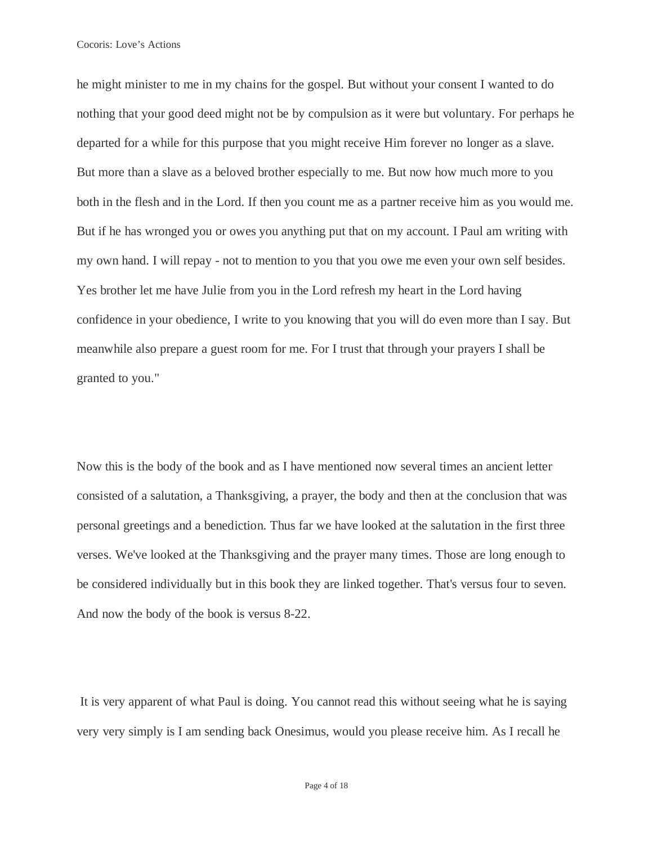he might minister to me in my chains for the gospel. But without your consent I wanted to do nothing that your good deed might not be by compulsion as it were but voluntary. For perhaps he departed for a while for this purpose that you might receive Him forever no longer as a slave. But more than a slave as a beloved brother especially to me. But now how much more to you both in the flesh and in the Lord. If then you count me as a partner receive him as you would me. But if he has wronged you or owes you anything put that on my account. I Paul am writing with my own hand. I will repay - not to mention to you that you owe me even your own self besides. Yes brother let me have Julie from you in the Lord refresh my heart in the Lord having confidence in your obedience, I write to you knowing that you will do even more than I say. But meanwhile also prepare a guest room for me. For I trust that through your prayers I shall be granted to you."

Now this is the body of the book and as I have mentioned now several times an ancient letter consisted of a salutation, a Thanksgiving, a prayer, the body and then at the conclusion that was personal greetings and a benediction. Thus far we have looked at the salutation in the first three verses. We've looked at the Thanksgiving and the prayer many times. Those are long enough to be considered individually but in this book they are linked together. That's versus four to seven. And now the body of the book is versus 8-22.

It is very apparent of what Paul is doing. You cannot read this without seeing what he is saying very very simply is I am sending back Onesimus, would you please receive him. As I recall he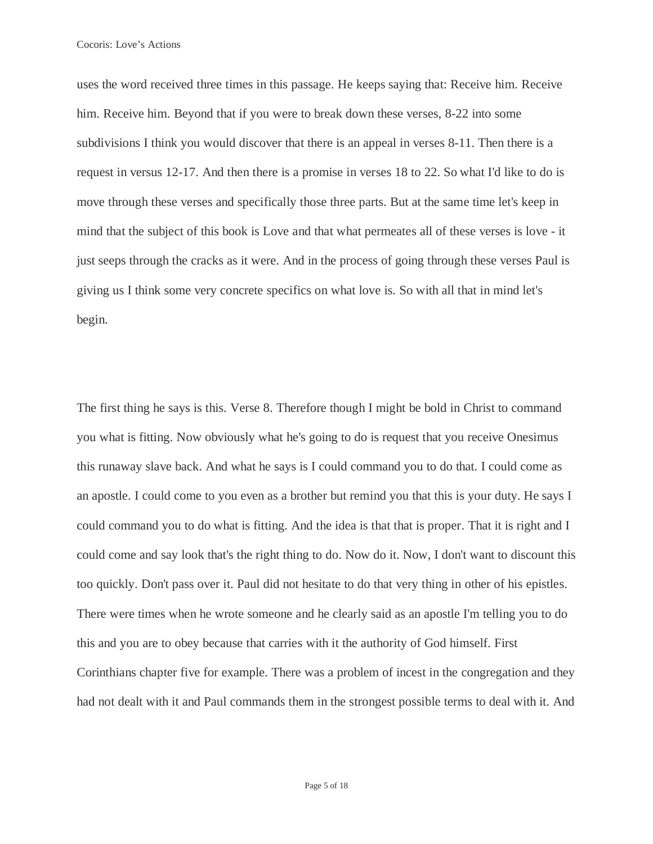uses the word received three times in this passage. He keeps saying that: Receive him. Receive him. Receive him. Beyond that if you were to break down these verses, 8-22 into some subdivisions I think you would discover that there is an appeal in verses 8-11. Then there is a request in versus 12-17. And then there is a promise in verses 18 to 22. So what I'd like to do is move through these verses and specifically those three parts. But at the same time let's keep in mind that the subject of this book is Love and that what permeates all of these verses is love - it just seeps through the cracks as it were. And in the process of going through these verses Paul is giving us I think some very concrete specifics on what love is. So with all that in mind let's begin.

The first thing he says is this. Verse 8. Therefore though I might be bold in Christ to command you what is fitting. Now obviously what he's going to do is request that you receive Onesimus this runaway slave back. And what he says is I could command you to do that. I could come as an apostle. I could come to you even as a brother but remind you that this is your duty. He says I could command you to do what is fitting. And the idea is that that is proper. That it is right and I could come and say look that's the right thing to do. Now do it. Now, I don't want to discount this too quickly. Don't pass over it. Paul did not hesitate to do that very thing in other of his epistles. There were times when he wrote someone and he clearly said as an apostle I'm telling you to do this and you are to obey because that carries with it the authority of God himself. First Corinthians chapter five for example. There was a problem of incest in the congregation and they had not dealt with it and Paul commands them in the strongest possible terms to deal with it. And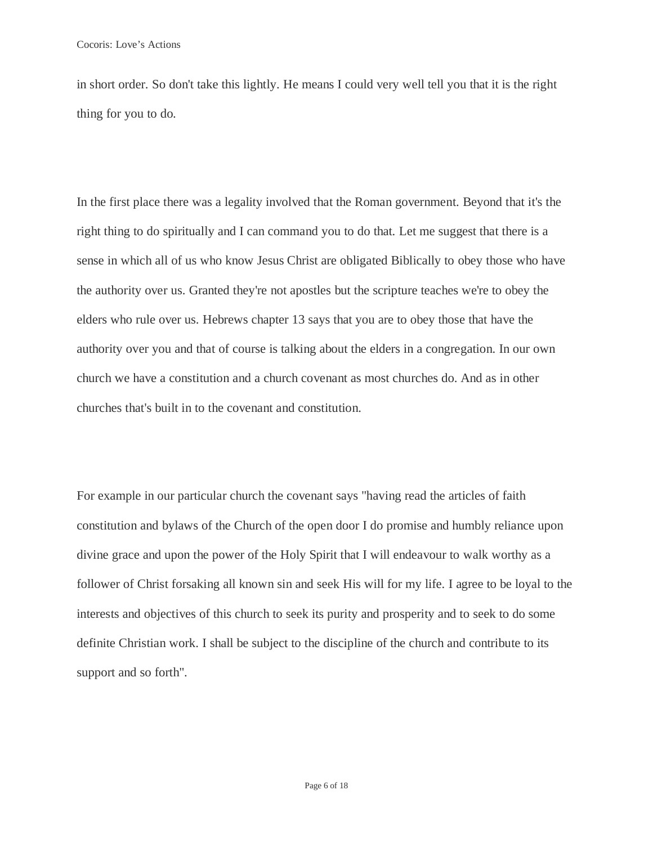in short order. So don't take this lightly. He means I could very well tell you that it is the right thing for you to do.

In the first place there was a legality involved that the Roman government. Beyond that it's the right thing to do spiritually and I can command you to do that. Let me suggest that there is a sense in which all of us who know Jesus Christ are obligated Biblically to obey those who have the authority over us. Granted they're not apostles but the scripture teaches we're to obey the elders who rule over us. Hebrews chapter 13 says that you are to obey those that have the authority over you and that of course is talking about the elders in a congregation. In our own church we have a constitution and a church covenant as most churches do. And as in other churches that's built in to the covenant and constitution.

For example in our particular church the covenant says "having read the articles of faith constitution and bylaws of the Church of the open door I do promise and humbly reliance upon divine grace and upon the power of the Holy Spirit that I will endeavour to walk worthy as a follower of Christ forsaking all known sin and seek His will for my life. I agree to be loyal to the interests and objectives of this church to seek its purity and prosperity and to seek to do some definite Christian work. I shall be subject to the discipline of the church and contribute to its support and so forth".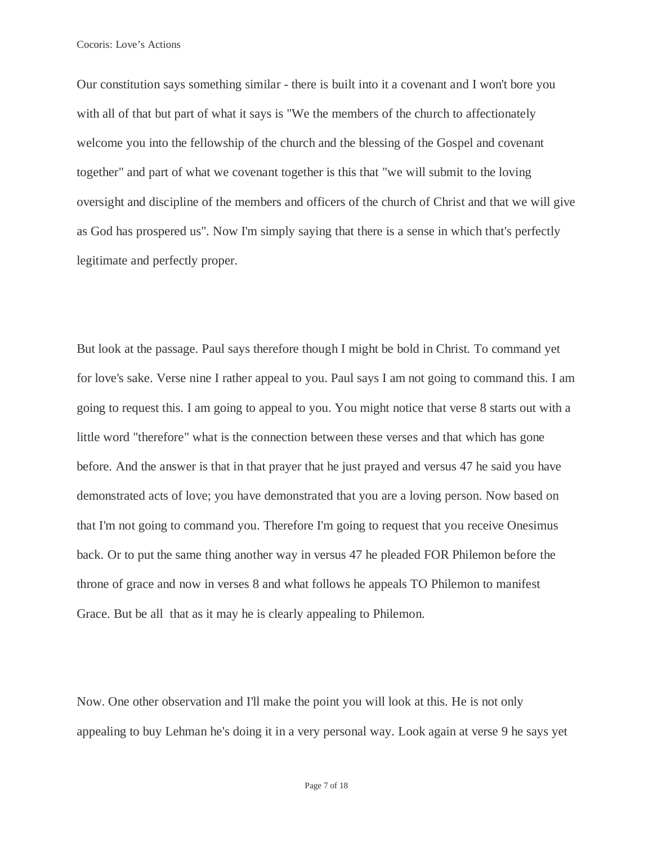Our constitution says something similar - there is built into it a covenant and I won't bore you with all of that but part of what it says is "We the members of the church to affectionately welcome you into the fellowship of the church and the blessing of the Gospel and covenant together" and part of what we covenant together is this that "we will submit to the loving oversight and discipline of the members and officers of the church of Christ and that we will give as God has prospered us". Now I'm simply saying that there is a sense in which that's perfectly legitimate and perfectly proper.

But look at the passage. Paul says therefore though I might be bold in Christ. To command yet for love's sake. Verse nine I rather appeal to you. Paul says I am not going to command this. I am going to request this. I am going to appeal to you. You might notice that verse 8 starts out with a little word "therefore" what is the connection between these verses and that which has gone before. And the answer is that in that prayer that he just prayed and versus 47 he said you have demonstrated acts of love; you have demonstrated that you are a loving person. Now based on that I'm not going to command you. Therefore I'm going to request that you receive Onesimus back. Or to put the same thing another way in versus 47 he pleaded FOR Philemon before the throne of grace and now in verses 8 and what follows he appeals TO Philemon to manifest Grace. But be all that as it may he is clearly appealing to Philemon.

Now. One other observation and I'll make the point you will look at this. He is not only appealing to buy Lehman he's doing it in a very personal way. Look again at verse 9 he says yet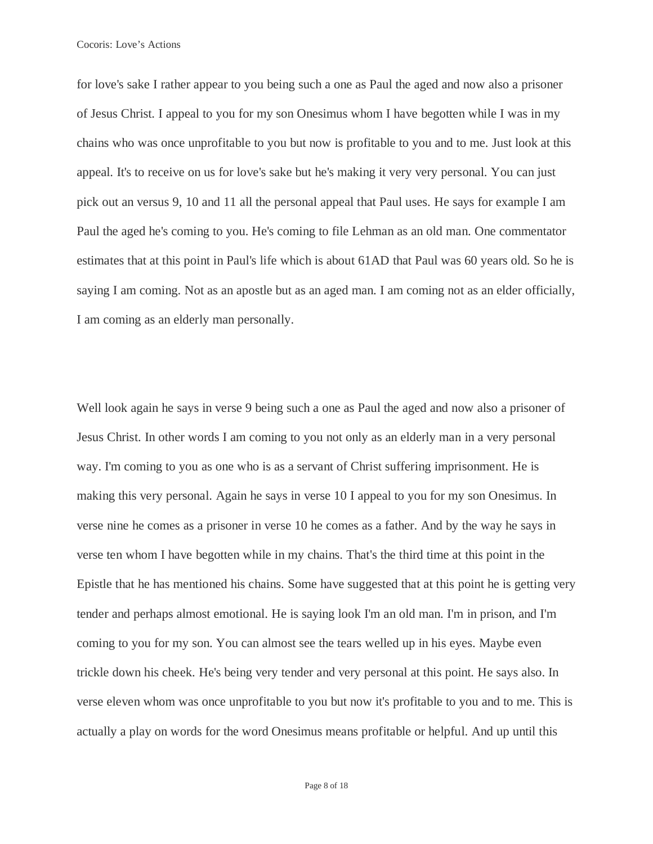for love's sake I rather appear to you being such a one as Paul the aged and now also a prisoner of Jesus Christ. I appeal to you for my son Onesimus whom I have begotten while I was in my chains who was once unprofitable to you but now is profitable to you and to me. Just look at this appeal. It's to receive on us for love's sake but he's making it very very personal. You can just pick out an versus 9, 10 and 11 all the personal appeal that Paul uses. He says for example I am Paul the aged he's coming to you. He's coming to file Lehman as an old man. One commentator estimates that at this point in Paul's life which is about 61AD that Paul was 60 years old. So he is saying I am coming. Not as an apostle but as an aged man. I am coming not as an elder officially, I am coming as an elderly man personally.

Well look again he says in verse 9 being such a one as Paul the aged and now also a prisoner of Jesus Christ. In other words I am coming to you not only as an elderly man in a very personal way. I'm coming to you as one who is as a servant of Christ suffering imprisonment. He is making this very personal. Again he says in verse 10 I appeal to you for my son Onesimus. In verse nine he comes as a prisoner in verse 10 he comes as a father. And by the way he says in verse ten whom I have begotten while in my chains. That's the third time at this point in the Epistle that he has mentioned his chains. Some have suggested that at this point he is getting very tender and perhaps almost emotional. He is saying look I'm an old man. I'm in prison, and I'm coming to you for my son. You can almost see the tears welled up in his eyes. Maybe even trickle down his cheek. He's being very tender and very personal at this point. He says also. In verse eleven whom was once unprofitable to you but now it's profitable to you and to me. This is actually a play on words for the word Onesimus means profitable or helpful. And up until this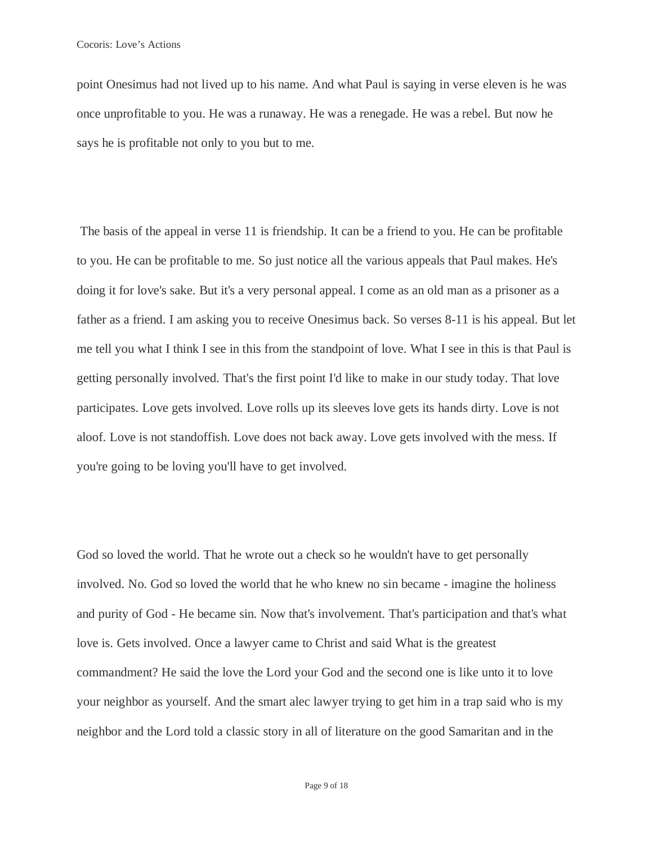point Onesimus had not lived up to his name. And what Paul is saying in verse eleven is he was once unprofitable to you. He was a runaway. He was a renegade. He was a rebel. But now he says he is profitable not only to you but to me.

The basis of the appeal in verse 11 is friendship. It can be a friend to you. He can be profitable to you. He can be profitable to me. So just notice all the various appeals that Paul makes. He's doing it for love's sake. But it's a very personal appeal. I come as an old man as a prisoner as a father as a friend. I am asking you to receive Onesimus back. So verses 8-11 is his appeal. But let me tell you what I think I see in this from the standpoint of love. What I see in this is that Paul is getting personally involved. That's the first point I'd like to make in our study today. That love participates. Love gets involved. Love rolls up its sleeves love gets its hands dirty. Love is not aloof. Love is not standoffish. Love does not back away. Love gets involved with the mess. If you're going to be loving you'll have to get involved.

God so loved the world. That he wrote out a check so he wouldn't have to get personally involved. No. God so loved the world that he who knew no sin became - imagine the holiness and purity of God - He became sin. Now that's involvement. That's participation and that's what love is. Gets involved. Once a lawyer came to Christ and said What is the greatest commandment? He said the love the Lord your God and the second one is like unto it to love your neighbor as yourself. And the smart alec lawyer trying to get him in a trap said who is my neighbor and the Lord told a classic story in all of literature on the good Samaritan and in the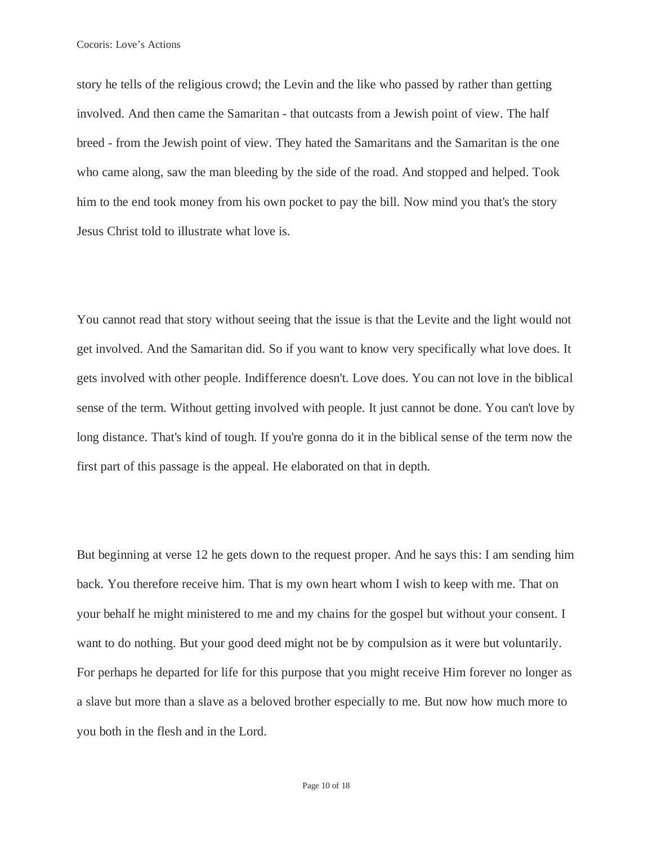story he tells of the religious crowd; the Levin and the like who passed by rather than getting involved. And then came the Samaritan - that outcasts from a Jewish point of view. The half breed - from the Jewish point of view. They hated the Samaritans and the Samaritan is the one who came along, saw the man bleeding by the side of the road. And stopped and helped. Took him to the end took money from his own pocket to pay the bill. Now mind you that's the story Jesus Christ told to illustrate what love is.

You cannot read that story without seeing that the issue is that the Levite and the light would not get involved. And the Samaritan did. So if you want to know very specifically what love does. It gets involved with other people. Indifference doesn't. Love does. You can not love in the biblical sense of the term. Without getting involved with people. It just cannot be done. You can't love by long distance. That's kind of tough. If you're gonna do it in the biblical sense of the term now the first part of this passage is the appeal. He elaborated on that in depth.

But beginning at verse 12 he gets down to the request proper. And he says this: I am sending him back. You therefore receive him. That is my own heart whom I wish to keep with me. That on your behalf he might ministered to me and my chains for the gospel but without your consent. I want to do nothing. But your good deed might not be by compulsion as it were but voluntarily. For perhaps he departed for life for this purpose that you might receive Him forever no longer as a slave but more than a slave as a beloved brother especially to me. But now how much more to you both in the flesh and in the Lord.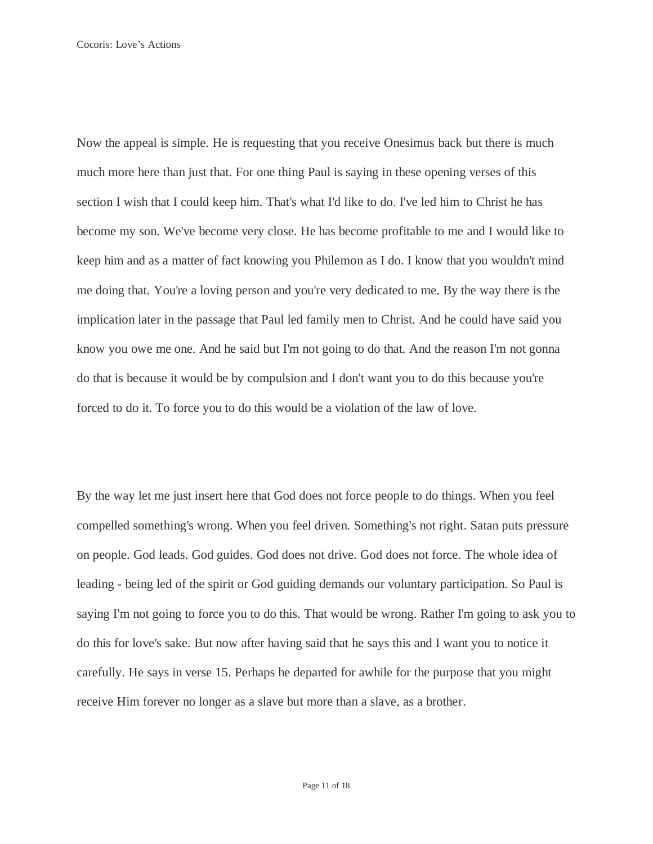Now the appeal is simple. He is requesting that you receive Onesimus back but there is much much more here than just that. For one thing Paul is saying in these opening verses of this section I wish that I could keep him. That's what I'd like to do. I've led him to Christ he has become my son. We've become very close. He has become profitable to me and I would like to keep him and as a matter of fact knowing you Philemon as I do. I know that you wouldn't mind me doing that. You're a loving person and you're very dedicated to me. By the way there is the implication later in the passage that Paul led family men to Christ. And he could have said you know you owe me one. And he said but I'm not going to do that. And the reason I'm not gonna do that is because it would be by compulsion and I don't want you to do this because you're forced to do it. To force you to do this would be a violation of the law of love.

By the way let me just insert here that God does not force people to do things. When you feel compelled something's wrong. When you feel driven. Something's not right. Satan puts pressure on people. God leads. God guides. God does not drive. God does not force. The whole idea of leading - being led of the spirit or God guiding demands our voluntary participation. So Paul is saying I'm not going to force you to do this. That would be wrong. Rather I'm going to ask you to do this for love's sake. But now after having said that he says this and I want you to notice it carefully. He says in verse 15. Perhaps he departed for awhile for the purpose that you might receive Him forever no longer as a slave but more than a slave, as a brother.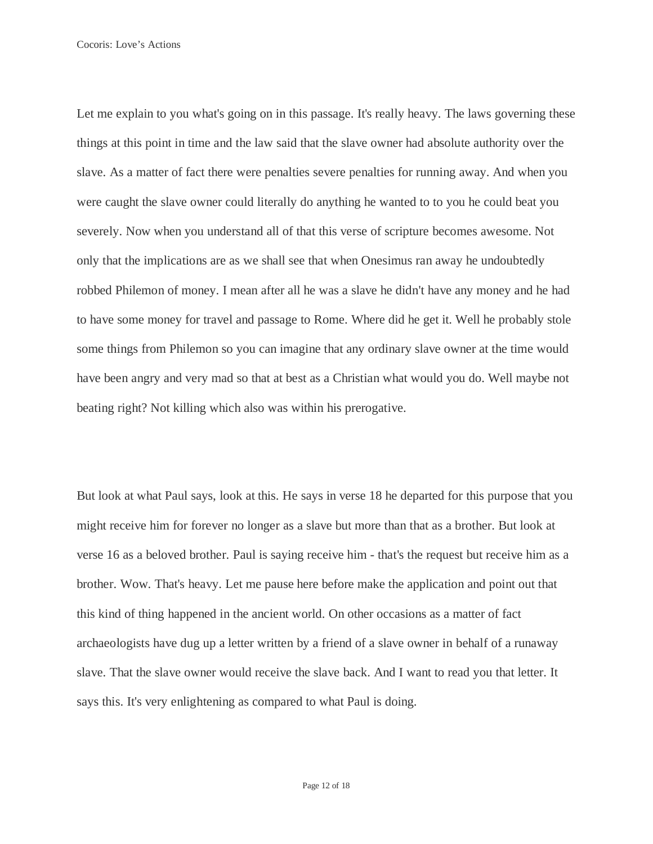Let me explain to you what's going on in this passage. It's really heavy. The laws governing these things at this point in time and the law said that the slave owner had absolute authority over the slave. As a matter of fact there were penalties severe penalties for running away. And when you were caught the slave owner could literally do anything he wanted to to you he could beat you severely. Now when you understand all of that this verse of scripture becomes awesome. Not only that the implications are as we shall see that when Onesimus ran away he undoubtedly robbed Philemon of money. I mean after all he was a slave he didn't have any money and he had to have some money for travel and passage to Rome. Where did he get it. Well he probably stole some things from Philemon so you can imagine that any ordinary slave owner at the time would have been angry and very mad so that at best as a Christian what would you do. Well maybe not beating right? Not killing which also was within his prerogative.

But look at what Paul says, look at this. He says in verse 18 he departed for this purpose that you might receive him for forever no longer as a slave but more than that as a brother. But look at verse 16 as a beloved brother. Paul is saying receive him - that's the request but receive him as a brother. Wow. That's heavy. Let me pause here before make the application and point out that this kind of thing happened in the ancient world. On other occasions as a matter of fact archaeologists have dug up a letter written by a friend of a slave owner in behalf of a runaway slave. That the slave owner would receive the slave back. And I want to read you that letter. It says this. It's very enlightening as compared to what Paul is doing.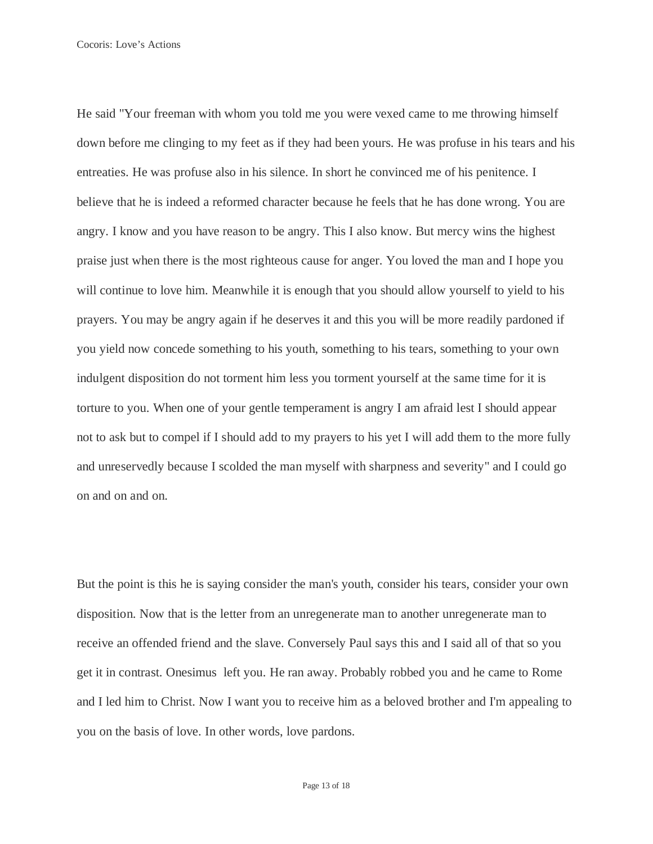He said "Your freeman with whom you told me you were vexed came to me throwing himself down before me clinging to my feet as if they had been yours. He was profuse in his tears and his entreaties. He was profuse also in his silence. In short he convinced me of his penitence. I believe that he is indeed a reformed character because he feels that he has done wrong. You are angry. I know and you have reason to be angry. This I also know. But mercy wins the highest praise just when there is the most righteous cause for anger. You loved the man and I hope you will continue to love him. Meanwhile it is enough that you should allow yourself to yield to his prayers. You may be angry again if he deserves it and this you will be more readily pardoned if you yield now concede something to his youth, something to his tears, something to your own indulgent disposition do not torment him less you torment yourself at the same time for it is torture to you. When one of your gentle temperament is angry I am afraid lest I should appear not to ask but to compel if I should add to my prayers to his yet I will add them to the more fully and unreservedly because I scolded the man myself with sharpness and severity" and I could go on and on and on.

But the point is this he is saying consider the man's youth, consider his tears, consider your own disposition. Now that is the letter from an unregenerate man to another unregenerate man to receive an offended friend and the slave. Conversely Paul says this and I said all of that so you get it in contrast. Onesimus left you. He ran away. Probably robbed you and he came to Rome and I led him to Christ. Now I want you to receive him as a beloved brother and I'm appealing to you on the basis of love. In other words, love pardons.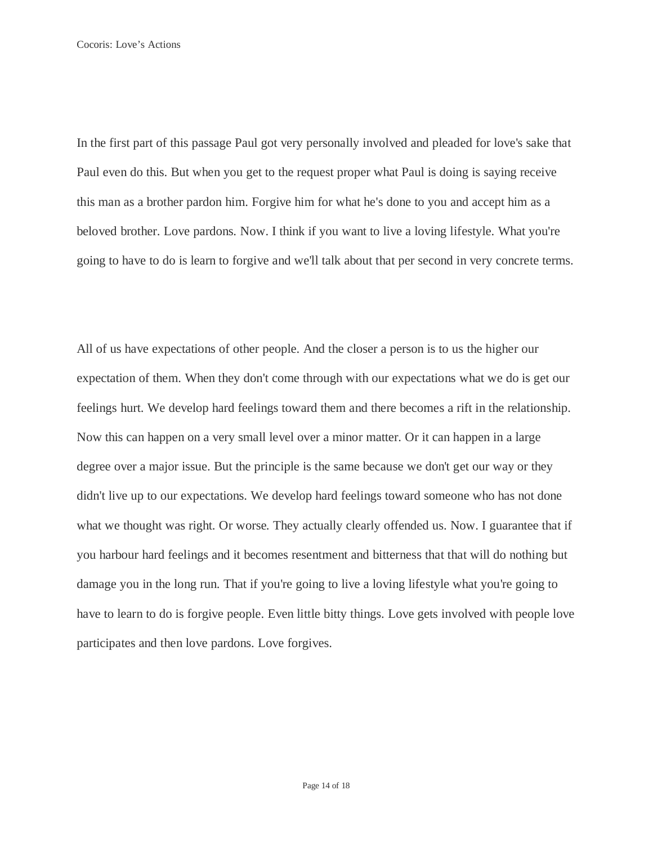In the first part of this passage Paul got very personally involved and pleaded for love's sake that Paul even do this. But when you get to the request proper what Paul is doing is saying receive this man as a brother pardon him. Forgive him for what he's done to you and accept him as a beloved brother. Love pardons. Now. I think if you want to live a loving lifestyle. What you're going to have to do is learn to forgive and we'll talk about that per second in very concrete terms.

All of us have expectations of other people. And the closer a person is to us the higher our expectation of them. When they don't come through with our expectations what we do is get our feelings hurt. We develop hard feelings toward them and there becomes a rift in the relationship. Now this can happen on a very small level over a minor matter. Or it can happen in a large degree over a major issue. But the principle is the same because we don't get our way or they didn't live up to our expectations. We develop hard feelings toward someone who has not done what we thought was right. Or worse. They actually clearly offended us. Now. I guarantee that if you harbour hard feelings and it becomes resentment and bitterness that that will do nothing but damage you in the long run. That if you're going to live a loving lifestyle what you're going to have to learn to do is forgive people. Even little bitty things. Love gets involved with people love participates and then love pardons. Love forgives.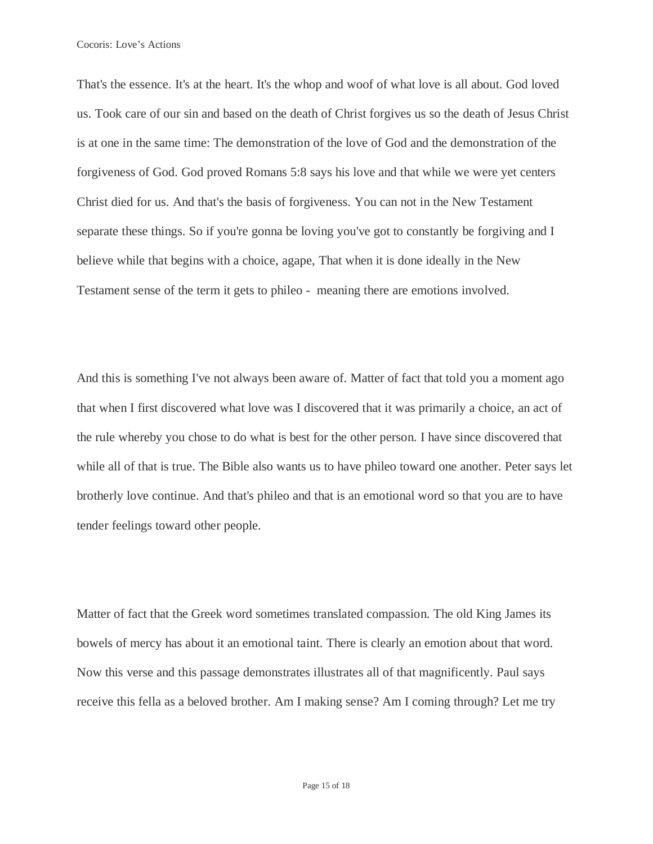That's the essence. It's at the heart. It's the whop and woof of what love is all about. God loved us. Took care of our sin and based on the death of Christ forgives us so the death of Jesus Christ is at one in the same time: The demonstration of the love of God and the demonstration of the forgiveness of God. God proved Romans 5:8 says his love and that while we were yet centers Christ died for us. And that's the basis of forgiveness. You can not in the New Testament separate these things. So if you're gonna be loving you've got to constantly be forgiving and I believe while that begins with a choice, agape, That when it is done ideally in the New Testament sense of the term it gets to phileo - meaning there are emotions involved.

And this is something I've not always been aware of. Matter of fact that told you a moment ago that when I first discovered what love was I discovered that it was primarily a choice, an act of the rule whereby you chose to do what is best for the other person. I have since discovered that while all of that is true. The Bible also wants us to have phileo toward one another. Peter says let brotherly love continue. And that's phileo and that is an emotional word so that you are to have tender feelings toward other people.

Matter of fact that the Greek word sometimes translated compassion. The old King James its bowels of mercy has about it an emotional taint. There is clearly an emotion about that word. Now this verse and this passage demonstrates illustrates all of that magnificently. Paul says receive this fella as a beloved brother. Am I making sense? Am I coming through? Let me try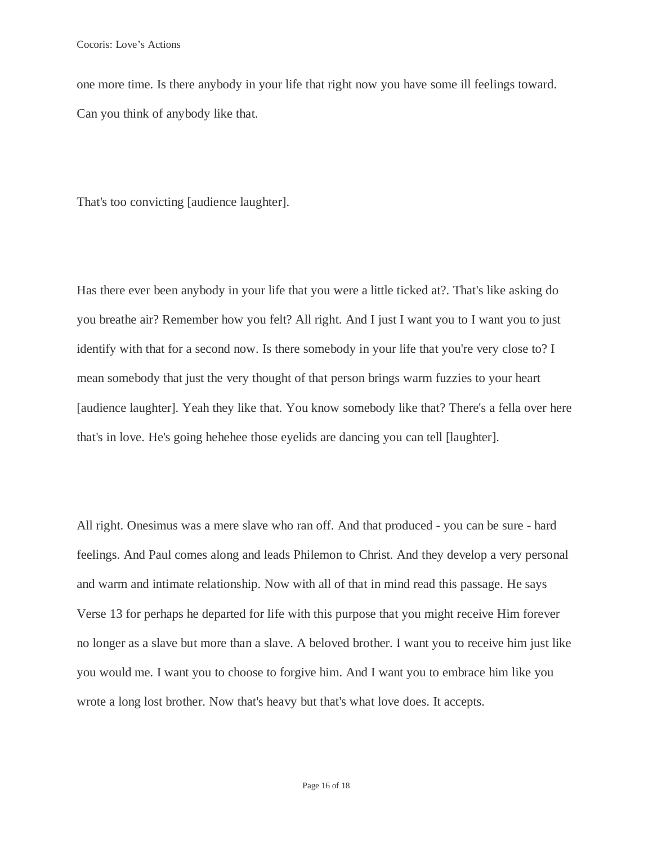one more time. Is there anybody in your life that right now you have some ill feelings toward. Can you think of anybody like that.

That's too convicting [audience laughter].

Has there ever been anybody in your life that you were a little ticked at?. That's like asking do you breathe air? Remember how you felt? All right. And I just I want you to I want you to just identify with that for a second now. Is there somebody in your life that you're very close to? I mean somebody that just the very thought of that person brings warm fuzzies to your heart [audience laughter]. Yeah they like that. You know somebody like that? There's a fella over here that's in love. He's going hehehee those eyelids are dancing you can tell [laughter].

All right. Onesimus was a mere slave who ran off. And that produced - you can be sure - hard feelings. And Paul comes along and leads Philemon to Christ. And they develop a very personal and warm and intimate relationship. Now with all of that in mind read this passage. He says Verse 13 for perhaps he departed for life with this purpose that you might receive Him forever no longer as a slave but more than a slave. A beloved brother. I want you to receive him just like you would me. I want you to choose to forgive him. And I want you to embrace him like you wrote a long lost brother. Now that's heavy but that's what love does. It accepts.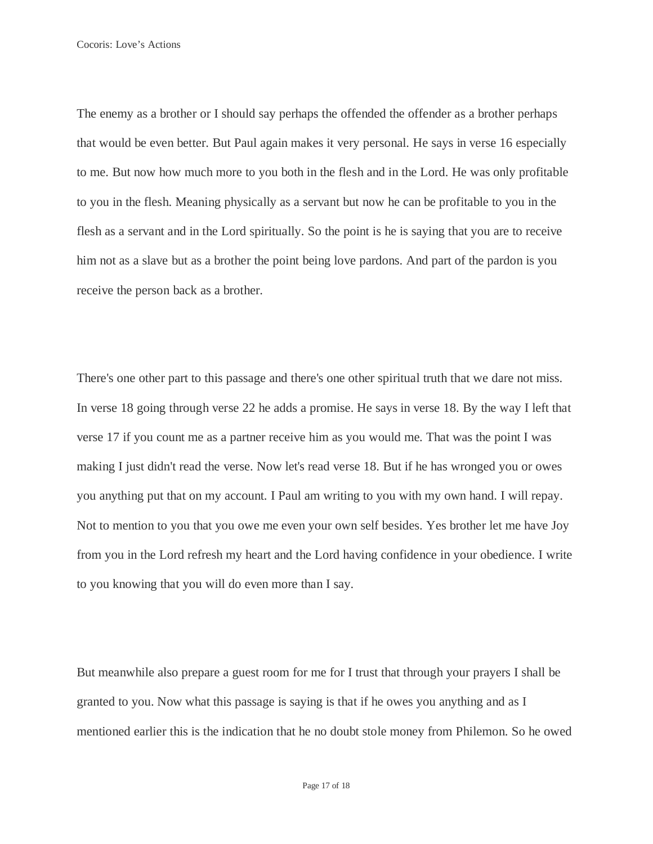The enemy as a brother or I should say perhaps the offended the offender as a brother perhaps that would be even better. But Paul again makes it very personal. He says in verse 16 especially to me. But now how much more to you both in the flesh and in the Lord. He was only profitable to you in the flesh. Meaning physically as a servant but now he can be profitable to you in the flesh as a servant and in the Lord spiritually. So the point is he is saying that you are to receive him not as a slave but as a brother the point being love pardons. And part of the pardon is you receive the person back as a brother.

There's one other part to this passage and there's one other spiritual truth that we dare not miss. In verse 18 going through verse 22 he adds a promise. He says in verse 18. By the way I left that verse 17 if you count me as a partner receive him as you would me. That was the point I was making I just didn't read the verse. Now let's read verse 18. But if he has wronged you or owes you anything put that on my account. I Paul am writing to you with my own hand. I will repay. Not to mention to you that you owe me even your own self besides. Yes brother let me have Joy from you in the Lord refresh my heart and the Lord having confidence in your obedience. I write to you knowing that you will do even more than I say.

But meanwhile also prepare a guest room for me for I trust that through your prayers I shall be granted to you. Now what this passage is saying is that if he owes you anything and as I mentioned earlier this is the indication that he no doubt stole money from Philemon. So he owed